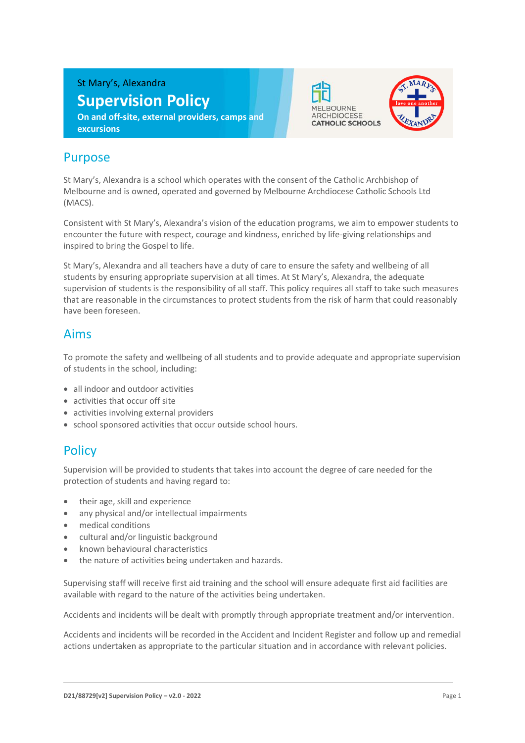St Mary's, Alexandra

# **Supervision Policy**

**On and off-site, external providers, camps and excursions**





# Purpose

St Mary's, Alexandra is a school which operates with the consent of the Catholic Archbishop of Melbourne and is owned, operated and governed by Melbourne Archdiocese Catholic Schools Ltd (MACS).

Consistent with St Mary's, Alexandra's vision of the education programs, we aim to empower students to encounter the future with respect, courage and kindness, enriched by life-giving relationships and inspired to bring the Gospel to life.

St Mary's, Alexandra and all teachers have a duty of care to ensure the safety and wellbeing of all students by ensuring appropriate supervision at all times. At St Mary's, Alexandra, the adequate supervision of students is the responsibility of all staff. This policy requires all staff to take such measures that are reasonable in the circumstances to protect students from the risk of harm that could reasonably have been foreseen.

#### Aims

To promote the safety and wellbeing of all students and to provide adequate and appropriate supervision of students in the school, including:

- all indoor and outdoor activities
- activities that occur off site
- activities involving external providers
- school sponsored activities that occur outside school hours.

# **Policy**

Supervision will be provided to students that takes into account the degree of care needed for the protection of students and having regard to:

- their age, skill and experience
- any physical and/or intellectual impairments
- medical conditions
- cultural and/or linguistic background
- known behavioural characteristics
- the nature of activities being undertaken and hazards.

Supervising staff will receive first aid training and the school will ensure adequate first aid facilities are available with regard to the nature of the activities being undertaken.

Accidents and incidents will be dealt with promptly through appropriate treatment and/or intervention.

Accidents and incidents will be recorded in the Accident and Incident Register and follow up and remedial actions undertaken as appropriate to the particular situation and in accordance with relevant policies.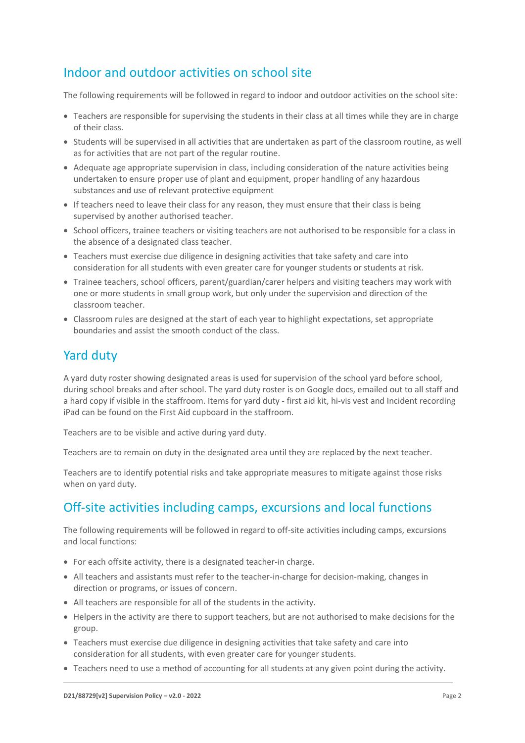### Indoor and outdoor activities on school site

The following requirements will be followed in regard to indoor and outdoor activities on the school site:

- Teachers are responsible for supervising the students in their class at all times while they are in charge of their class.
- Students will be supervised in all activities that are undertaken as part of the classroom routine, as well as for activities that are not part of the regular routine.
- Adequate age appropriate supervision in class, including consideration of the nature activities being undertaken to ensure proper use of plant and equipment, proper handling of any hazardous substances and use of relevant protective equipment
- If teachers need to leave their class for any reason, they must ensure that their class is being supervised by another authorised teacher.
- School officers, trainee teachers or visiting teachers are not authorised to be responsible for a class in the absence of a designated class teacher.
- Teachers must exercise due diligence in designing activities that take safety and care into consideration for all students with even greater care for younger students or students at risk.
- Trainee teachers, school officers, parent/guardian/carer helpers and visiting teachers may work with one or more students in small group work, but only under the supervision and direction of the classroom teacher.
- Classroom rules are designed at the start of each year to highlight expectations, set appropriate boundaries and assist the smooth conduct of the class.

#### Yard duty

A yard duty roster showing designated areas is used for supervision of the school yard before school, during school breaks and after school. The yard duty roster is on Google docs, emailed out to all staff and a hard copy if visible in the staffroom. Items for yard duty - first aid kit, hi-vis vest and Incident recording iPad can be found on the First Aid cupboard in the staffroom.

Teachers are to be visible and active during yard duty.

Teachers are to remain on duty in the designated area until they are replaced by the next teacher.

Teachers are to identify potential risks and take appropriate measures to mitigate against those risks when on yard duty.

### Off-site activities including camps, excursions and local functions

The following requirements will be followed in regard to off-site activities including camps, excursions and local functions:

- For each offsite activity, there is a designated teacher-in charge.
- All teachers and assistants must refer to the teacher-in-charge for decision-making, changes in direction or programs, or issues of concern.
- All teachers are responsible for all of the students in the activity.
- Helpers in the activity are there to support teachers, but are not authorised to make decisions for the group.
- Teachers must exercise due diligence in designing activities that take safety and care into consideration for all students, with even greater care for younger students.
- Teachers need to use a method of accounting for all students at any given point during the activity.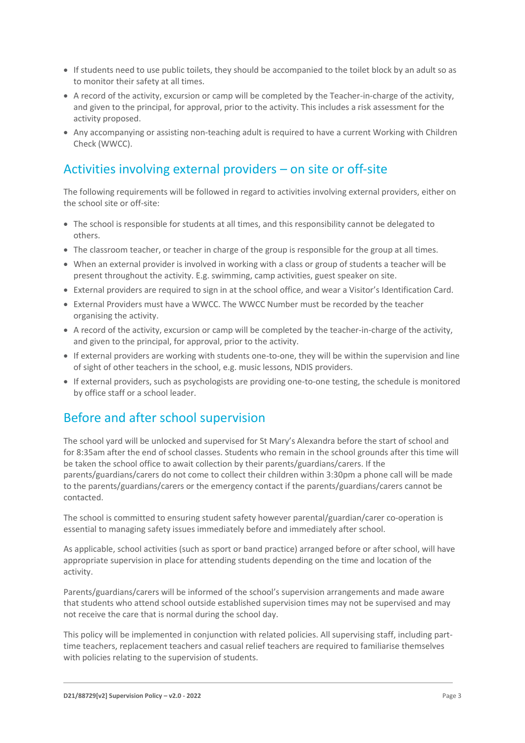- If students need to use public toilets, they should be accompanied to the toilet block by an adult so as to monitor their safety at all times.
- A record of the activity, excursion or camp will be completed by the Teacher-in-charge of the activity, and given to the principal, for approval, prior to the activity. This includes a risk assessment for the activity proposed.
- Any accompanying or assisting non-teaching adult is required to have a current Working with Children Check (WWCC).

# Activities involving external providers – on site or off-site

The following requirements will be followed in regard to activities involving external providers, either on the school site or off-site:

- The school is responsible for students at all times, and this responsibility cannot be delegated to others.
- The classroom teacher, or teacher in charge of the group is responsible for the group at all times.
- When an external provider is involved in working with a class or group of students a teacher will be present throughout the activity. E.g. swimming, camp activities, guest speaker on site.
- External providers are required to sign in at the school office, and wear a Visitor's Identification Card.
- External Providers must have a WWCC. The WWCC Number must be recorded by the teacher organising the activity.
- A record of the activity, excursion or camp will be completed by the teacher-in-charge of the activity, and given to the principal, for approval, prior to the activity.
- If external providers are working with students one-to-one, they will be within the supervision and line of sight of other teachers in the school, e.g. music lessons, NDIS providers.
- If external providers, such as psychologists are providing one-to-one testing, the schedule is monitored by office staff or a school leader.

### Before and after school supervision

The school yard will be unlocked and supervised for St Mary's Alexandra before the start of school and for 8:35am after the end of school classes. Students who remain in the school grounds after this time will be taken the school office to await collection by their parents/guardians/carers. If the parents/guardians/carers do not come to collect their children within 3:30pm a phone call will be made to the parents/guardians/carers or the emergency contact if the parents/guardians/carers cannot be contacted.

The school is committed to ensuring student safety however parental/guardian/carer co-operation is essential to managing safety issues immediately before and immediately after school.

As applicable, school activities (such as sport or band practice) arranged before or after school, will have appropriate supervision in place for attending students depending on the time and location of the activity.

Parents/guardians/carers will be informed of the school's supervision arrangements and made aware that students who attend school outside established supervision times may not be supervised and may not receive the care that is normal during the school day.

This policy will be implemented in conjunction with related policies. All supervising staff, including parttime teachers, replacement teachers and casual relief teachers are required to familiarise themselves with policies relating to the supervision of students.